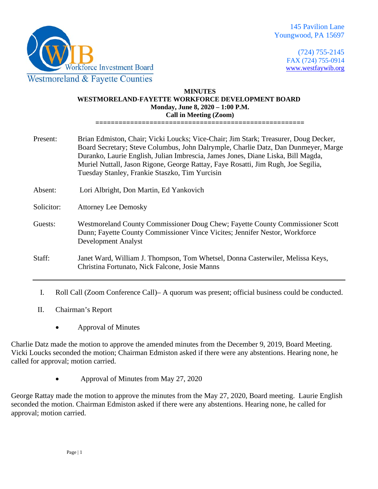

(724) 755-2145 FAX (724) 755-0914 [www.westfaywib.org](http://www.westfaywib.org/)

## **MINUTES WESTMORELAND-FAYETTE WORKFORCE DEVELOPMENT BOARD Monday, June 8, 2020 – 1:00 P.M. Call in Meeting (Zoom)**

**======================================================**

| Present:   | Brian Edmiston, Chair; Vicki Loucks; Vice-Chair; Jim Stark; Treasurer, Doug Decker,<br>Board Secretary; Steve Columbus, John Dalrymple, Charlie Datz, Dan Dunmeyer, Marge<br>Duranko, Laurie English, Julian Imbrescia, James Jones, Diane Liska, Bill Magda,<br>Muriel Nuttall, Jason Rigone, George Rattay, Faye Rosatti, Jim Rugh, Joe Segilia,<br>Tuesday Stanley, Frankie Staszko, Tim Yurcisin |
|------------|------------------------------------------------------------------------------------------------------------------------------------------------------------------------------------------------------------------------------------------------------------------------------------------------------------------------------------------------------------------------------------------------------|
| Absent:    | Lori Albright, Don Martin, Ed Yankovich                                                                                                                                                                                                                                                                                                                                                              |
| Solicitor: | <b>Attorney Lee Demosky</b>                                                                                                                                                                                                                                                                                                                                                                          |
| Guests:    | Westmoreland County Commissioner Doug Chew; Fayette County Commissioner Scott<br>Dunn; Fayette County Commissioner Vince Vicites; Jennifer Nestor, Workforce<br><b>Development Analyst</b>                                                                                                                                                                                                           |
| Staff:     | Janet Ward, William J. Thompson, Tom Whetsel, Donna Casterwiler, Melissa Keys,<br>Christina Fortunato, Nick Falcone, Josie Manns                                                                                                                                                                                                                                                                     |

I. Roll Call (Zoom Conference Call)– A quorum was present; official business could be conducted.

II. Chairman's Report

• Approval of Minutes

Charlie Datz made the motion to approve the amended minutes from the December 9, 2019, Board Meeting. Vicki Loucks seconded the motion; Chairman Edmiston asked if there were any abstentions. Hearing none, he called for approval; motion carried.

• Approval of Minutes from May 27, 2020

George Rattay made the motion to approve the minutes from the May 27, 2020, Board meeting. Laurie English seconded the motion. Chairman Edmiston asked if there were any abstentions. Hearing none, he called for approval; motion carried.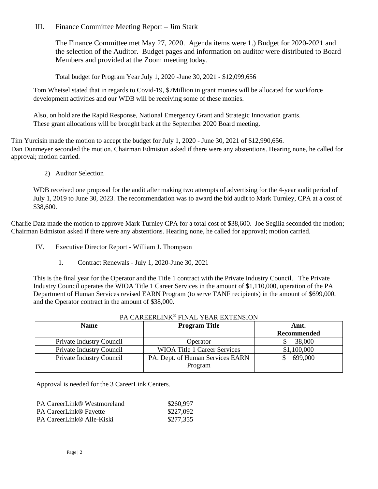III. Finance Committee Meeting Report – Jim Stark

The Finance Committee met May 27, 2020. Agenda items were 1.) Budget for 2020-2021 and the selection of the Auditor. Budget pages and information on auditor were distributed to Board Members and provided at the Zoom meeting today.

Total budget for Program Year July 1, 2020 -June 30, 2021 - \$12,099,656

Tom Whetsel stated that in regards to Covid-19, \$7Million in grant monies will be allocated for workforce development activities and our WDB will be receiving some of these monies.

Also, on hold are the Rapid Response, National Emergency Grant and Strategic Innovation grants. These grant allocations will be brought back at the September 2020 Board meeting.

Tim Yurcisin made the motion to accept the budget for July 1, 2020 - June 30, 2021 of \$12,990,656. Dan Dunmeyer seconded the motion. Chairman Edmiston asked if there were any abstentions. Hearing none, he called for approval; motion carried.

2) Auditor Selection

WDB received one proposal for the audit after making two attempts of advertising for the 4-year audit period of July 1, 2019 to June 30, 2023. The recommendation was to award the bid audit to Mark Turnley, CPA at a cost of \$38,600.

Charlie Datz made the motion to approve Mark Turnley CPA for a total cost of \$38,600. Joe Segilia seconded the motion; Chairman Edmiston asked if there were any abstentions. Hearing none, he called for approval; motion carried.

- IV. Executive Director Report William J. Thompson
	- 1. Contract Renewals July 1, 2020-June 30, 2021

This is the final year for the Operator and the Title 1 contract with the Private Industry Council. The Private Industry Council operates the WIOA Title 1 Career Services in the amount of \$1,110,000, operation of the PA Department of Human Services revised EARN Program (to serve TANF recipients) in the amount of \$699,000, and the Operator contract in the amount of \$38,000.

| TA CANLENLINN TINAL TEAN EATENSION          |                    |  |  |  |  |
|---------------------------------------------|--------------------|--|--|--|--|
| <b>Program Title</b>                        | Amt.               |  |  |  |  |
|                                             | <b>Recommended</b> |  |  |  |  |
| Operator                                    | 38,000             |  |  |  |  |
| <b>WIOA Title 1 Career Services</b>         | \$1,100,000        |  |  |  |  |
| PA. Dept. of Human Services EARN<br>Program | 699,000            |  |  |  |  |
|                                             |                    |  |  |  |  |

## PA CAREERLINK® FINAL YEAR EXTENSION

Approval is needed for the 3 CareerLink Centers.

| <b>PA CareerLink® Westmoreland</b> | \$260,997 |
|------------------------------------|-----------|
| <b>PA CareerLink® Fayette</b>      | \$227,092 |
| PA CareerLink® Alle-Kiski          | \$277,355 |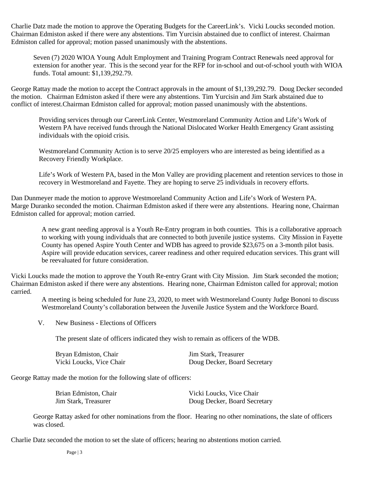Charlie Datz made the motion to approve the Operating Budgets for the CareerLink's. Vicki Loucks seconded motion. Chairman Edmiston asked if there were any abstentions. Tim Yurcisin abstained due to conflict of interest. Chairman Edmiston called for approval; motion passed unanimously with the abstentions.

Seven (7) 2020 WIOA Young Adult Employment and Training Program Contract Renewals need approval for extension for another year. This is the second year for the RFP for in-school and out-of-school youth with WIOA funds. Total amount: \$1,139,292.79.

George Rattay made the motion to accept the Contract approvals in the amount of \$1,139,292.79. Doug Decker seconded the motion. Chairman Edmiston asked if there were any abstentions. Tim Yurcisin and Jim Stark abstained due to conflict of interest.Chairman Edmiston called for approval; motion passed unanimously with the abstentions.

Providing services through our CareerLink Center, Westmoreland Community Action and Life's Work of Western PA have received funds through the National Dislocated Worker Health Emergency Grant assisting individuals with the opioid crisis.

Westmoreland Community Action is to serve 20/25 employers who are interested as being identified as a Recovery Friendly Workplace.

Life's Work of Western PA, based in the Mon Valley are providing placement and retention services to those in recovery in Westmoreland and Fayette. They are hoping to serve 25 individuals in recovery efforts.

Dan Dunmeyer made the motion to approve Westmoreland Community Action and Life's Work of Western PA. Marge Duranko seconded the motion. Chairman Edmiston asked if there were any abstentions. Hearing none, Chairman Edmiston called for approval; motion carried.

A new grant needing approval is a Youth Re-Entry program in both counties. This is a collaborative approach to working with young individuals that are connected to both juvenile justice systems. City Mission in Fayette County has opened Aspire Youth Center and WDB has agreed to provide \$23,675 on a 3-month pilot basis. Aspire will provide education services, career readiness and other required education services. This grant will be reevaluated for future consideration.

Vicki Loucks made the motion to approve the Youth Re-entry Grant with City Mission. Jim Stark seconded the motion; Chairman Edmiston asked if there were any abstentions. Hearing none, Chairman Edmiston called for approval; motion carried.

A meeting is being scheduled for June 23, 2020, to meet with Westmoreland County Judge Bononi to discuss Westmoreland County's collaboration between the Juvenile Justice System and the Workforce Board.

V. New Business - Elections of Officers

The present slate of officers indicated they wish to remain as officers of the WDB.

| Bryan Edmiston, Chair    | Jim Stark, Treasurer         |
|--------------------------|------------------------------|
| Vicki Loucks, Vice Chair | Doug Decker, Board Secretary |

George Rattay made the motion for the following slate of officers:

| Brian Edmiston, Chair | Vicki Loucks, Vice Chair     |
|-----------------------|------------------------------|
| Jim Stark, Treasurer  | Doug Decker, Board Secretary |

George Rattay asked for other nominations from the floor. Hearing no other nominations, the slate of officers was closed.

Charlie Datz seconded the motion to set the slate of officers; hearing no abstentions motion carried.